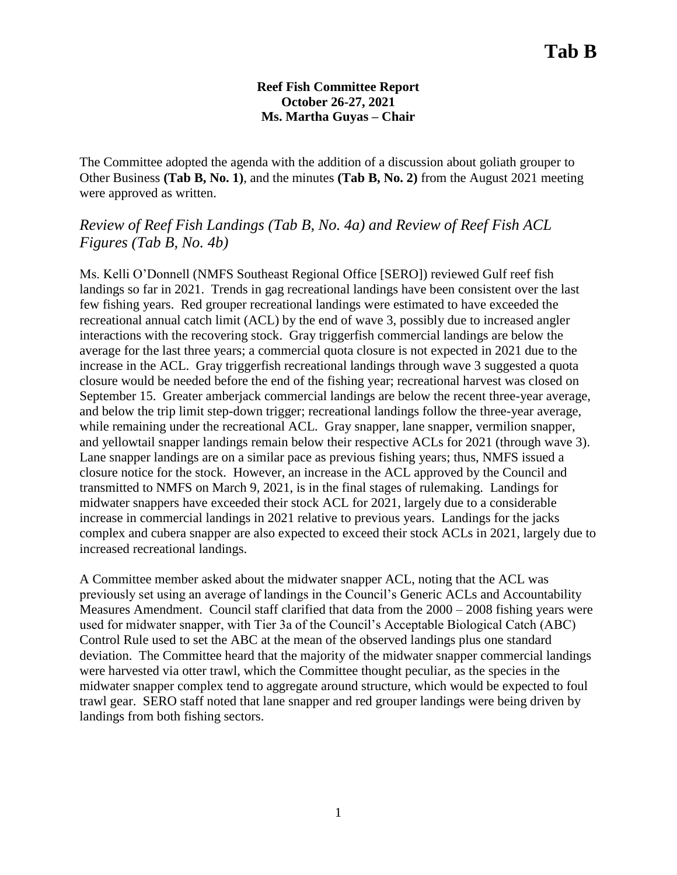### **Reef Fish Committee Report October 26-27, 2021 Ms. Martha Guyas – Chair**

The Committee adopted the agenda with the addition of a discussion about goliath grouper to Other Business **(Tab B, No. 1)**, and the minutes **(Tab B, No. 2)** from the August 2021 meeting were approved as written.

## *Review of Reef Fish Landings (Tab B, No. 4a) and Review of Reef Fish ACL Figures (Tab B, No. 4b)*

Ms. Kelli O'Donnell (NMFS Southeast Regional Office [SERO]) reviewed Gulf reef fish landings so far in 2021. Trends in gag recreational landings have been consistent over the last few fishing years. Red grouper recreational landings were estimated to have exceeded the recreational annual catch limit (ACL) by the end of wave 3, possibly due to increased angler interactions with the recovering stock. Gray triggerfish commercial landings are below the average for the last three years; a commercial quota closure is not expected in 2021 due to the increase in the ACL. Gray triggerfish recreational landings through wave 3 suggested a quota closure would be needed before the end of the fishing year; recreational harvest was closed on September 15. Greater amberjack commercial landings are below the recent three-year average, and below the trip limit step-down trigger; recreational landings follow the three-year average, while remaining under the recreational ACL. Gray snapper, lane snapper, vermilion snapper, and yellowtail snapper landings remain below their respective ACLs for 2021 (through wave 3). Lane snapper landings are on a similar pace as previous fishing years; thus, NMFS issued a closure notice for the stock. However, an increase in the ACL approved by the Council and transmitted to NMFS on March 9, 2021, is in the final stages of rulemaking. Landings for midwater snappers have exceeded their stock ACL for 2021, largely due to a considerable increase in commercial landings in 2021 relative to previous years. Landings for the jacks complex and cubera snapper are also expected to exceed their stock ACLs in 2021, largely due to increased recreational landings.

A Committee member asked about the midwater snapper ACL, noting that the ACL was previously set using an average of landings in the Council's Generic ACLs and Accountability Measures Amendment. Council staff clarified that data from the 2000 – 2008 fishing years were used for midwater snapper, with Tier 3a of the Council's Acceptable Biological Catch (ABC) Control Rule used to set the ABC at the mean of the observed landings plus one standard deviation. The Committee heard that the majority of the midwater snapper commercial landings were harvested via otter trawl, which the Committee thought peculiar, as the species in the midwater snapper complex tend to aggregate around structure, which would be expected to foul trawl gear. SERO staff noted that lane snapper and red grouper landings were being driven by landings from both fishing sectors.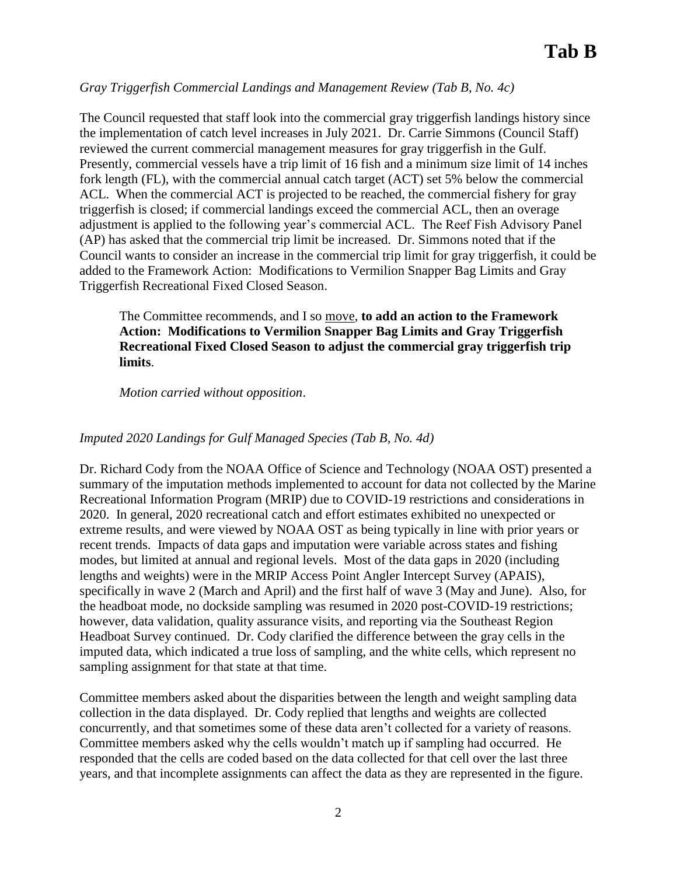## *Gray Triggerfish Commercial Landings and Management Review (Tab B, No. 4c)*

The Council requested that staff look into the commercial gray triggerfish landings history since the implementation of catch level increases in July 2021. Dr. Carrie Simmons (Council Staff) reviewed the current commercial management measures for gray triggerfish in the Gulf. Presently, commercial vessels have a trip limit of 16 fish and a minimum size limit of 14 inches fork length (FL), with the commercial annual catch target (ACT) set 5% below the commercial ACL. When the commercial ACT is projected to be reached, the commercial fishery for gray triggerfish is closed; if commercial landings exceed the commercial ACL, then an overage adjustment is applied to the following year's commercial ACL. The Reef Fish Advisory Panel (AP) has asked that the commercial trip limit be increased. Dr. Simmons noted that if the Council wants to consider an increase in the commercial trip limit for gray triggerfish, it could be added to the Framework Action: Modifications to Vermilion Snapper Bag Limits and Gray Triggerfish Recreational Fixed Closed Season.

The Committee recommends, and I so move, **to add an action to the Framework Action: Modifications to Vermilion Snapper Bag Limits and Gray Triggerfish Recreational Fixed Closed Season to adjust the commercial gray triggerfish trip limits**.

#### *Motion carried without opposition*.

### *Imputed 2020 Landings for Gulf Managed Species (Tab B, No. 4d)*

Dr. Richard Cody from the NOAA Office of Science and Technology (NOAA OST) presented a summary of the imputation methods implemented to account for data not collected by the Marine Recreational Information Program (MRIP) due to COVID-19 restrictions and considerations in 2020. In general, 2020 recreational catch and effort estimates exhibited no unexpected or extreme results, and were viewed by NOAA OST as being typically in line with prior years or recent trends. Impacts of data gaps and imputation were variable across states and fishing modes, but limited at annual and regional levels. Most of the data gaps in 2020 (including lengths and weights) were in the MRIP Access Point Angler Intercept Survey (APAIS), specifically in wave 2 (March and April) and the first half of wave 3 (May and June). Also, for the headboat mode, no dockside sampling was resumed in 2020 post-COVID-19 restrictions; however, data validation, quality assurance visits, and reporting via the Southeast Region Headboat Survey continued. Dr. Cody clarified the difference between the gray cells in the imputed data, which indicated a true loss of sampling, and the white cells, which represent no sampling assignment for that state at that time.

Committee members asked about the disparities between the length and weight sampling data collection in the data displayed. Dr. Cody replied that lengths and weights are collected concurrently, and that sometimes some of these data aren't collected for a variety of reasons. Committee members asked why the cells wouldn't match up if sampling had occurred. He responded that the cells are coded based on the data collected for that cell over the last three years, and that incomplete assignments can affect the data as they are represented in the figure.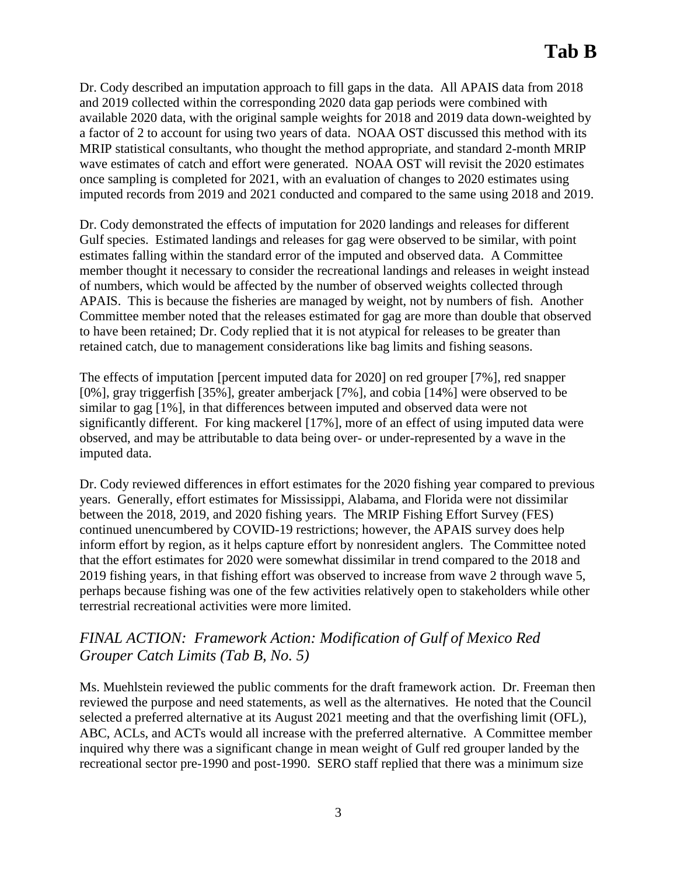Dr. Cody described an imputation approach to fill gaps in the data. All APAIS data from 2018 and 2019 collected within the corresponding 2020 data gap periods were combined with available 2020 data, with the original sample weights for 2018 and 2019 data down-weighted by a factor of 2 to account for using two years of data. NOAA OST discussed this method with its MRIP statistical consultants, who thought the method appropriate, and standard 2-month MRIP wave estimates of catch and effort were generated. NOAA OST will revisit the 2020 estimates once sampling is completed for 2021, with an evaluation of changes to 2020 estimates using imputed records from 2019 and 2021 conducted and compared to the same using 2018 and 2019.

Dr. Cody demonstrated the effects of imputation for 2020 landings and releases for different Gulf species. Estimated landings and releases for gag were observed to be similar, with point estimates falling within the standard error of the imputed and observed data. A Committee member thought it necessary to consider the recreational landings and releases in weight instead of numbers, which would be affected by the number of observed weights collected through APAIS. This is because the fisheries are managed by weight, not by numbers of fish. Another Committee member noted that the releases estimated for gag are more than double that observed to have been retained; Dr. Cody replied that it is not atypical for releases to be greater than retained catch, due to management considerations like bag limits and fishing seasons.

The effects of imputation [percent imputed data for 2020] on red grouper [7%], red snapper [0%], gray triggerfish [35%], greater amberjack [7%], and cobia [14%] were observed to be similar to gag [1%], in that differences between imputed and observed data were not significantly different. For king mackerel [17%], more of an effect of using imputed data were observed, and may be attributable to data being over- or under-represented by a wave in the imputed data.

Dr. Cody reviewed differences in effort estimates for the 2020 fishing year compared to previous years. Generally, effort estimates for Mississippi, Alabama, and Florida were not dissimilar between the 2018, 2019, and 2020 fishing years. The MRIP Fishing Effort Survey (FES) continued unencumbered by COVID-19 restrictions; however, the APAIS survey does help inform effort by region, as it helps capture effort by nonresident anglers. The Committee noted that the effort estimates for 2020 were somewhat dissimilar in trend compared to the 2018 and 2019 fishing years, in that fishing effort was observed to increase from wave 2 through wave 5, perhaps because fishing was one of the few activities relatively open to stakeholders while other terrestrial recreational activities were more limited.

## *FINAL ACTION: Framework Action: Modification of Gulf of Mexico Red Grouper Catch Limits (Tab B, No. 5)*

Ms. Muehlstein reviewed the public comments for the draft framework action. Dr. Freeman then reviewed the purpose and need statements, as well as the alternatives. He noted that the Council selected a preferred alternative at its August 2021 meeting and that the overfishing limit (OFL), ABC, ACLs, and ACTs would all increase with the preferred alternative. A Committee member inquired why there was a significant change in mean weight of Gulf red grouper landed by the recreational sector pre-1990 and post-1990. SERO staff replied that there was a minimum size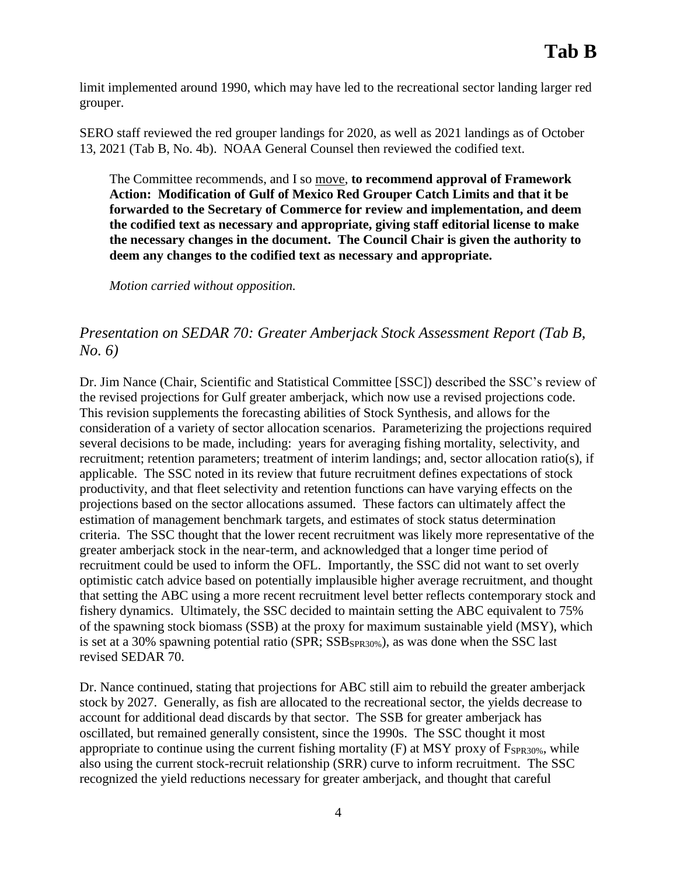limit implemented around 1990, which may have led to the recreational sector landing larger red grouper.

SERO staff reviewed the red grouper landings for 2020, as well as 2021 landings as of October 13, 2021 (Tab B, No. 4b). NOAA General Counsel then reviewed the codified text.

The Committee recommends, and I so move, **to recommend approval of Framework Action: Modification of Gulf of Mexico Red Grouper Catch Limits and that it be forwarded to the Secretary of Commerce for review and implementation, and deem the codified text as necessary and appropriate, giving staff editorial license to make the necessary changes in the document. The Council Chair is given the authority to deem any changes to the codified text as necessary and appropriate.**

*Motion carried without opposition.*

## *Presentation on SEDAR 70: Greater Amberjack Stock Assessment Report (Tab B, No. 6)*

Dr. Jim Nance (Chair, Scientific and Statistical Committee [SSC]) described the SSC's review of the revised projections for Gulf greater amberjack, which now use a revised projections code. This revision supplements the forecasting abilities of Stock Synthesis, and allows for the consideration of a variety of sector allocation scenarios. Parameterizing the projections required several decisions to be made, including: years for averaging fishing mortality, selectivity, and recruitment; retention parameters; treatment of interim landings; and, sector allocation ratio(s), if applicable. The SSC noted in its review that future recruitment defines expectations of stock productivity, and that fleet selectivity and retention functions can have varying effects on the projections based on the sector allocations assumed. These factors can ultimately affect the estimation of management benchmark targets, and estimates of stock status determination criteria. The SSC thought that the lower recent recruitment was likely more representative of the greater amberjack stock in the near-term, and acknowledged that a longer time period of recruitment could be used to inform the OFL. Importantly, the SSC did not want to set overly optimistic catch advice based on potentially implausible higher average recruitment, and thought that setting the ABC using a more recent recruitment level better reflects contemporary stock and fishery dynamics. Ultimately, the SSC decided to maintain setting the ABC equivalent to 75% of the spawning stock biomass (SSB) at the proxy for maximum sustainable yield (MSY), which is set at a 30% spawning potential ratio (SPR;  $SSB_{SPR30\%}$ ), as was done when the SSC last revised SEDAR 70.

Dr. Nance continued, stating that projections for ABC still aim to rebuild the greater amberjack stock by 2027. Generally, as fish are allocated to the recreational sector, the yields decrease to account for additional dead discards by that sector. The SSB for greater amberjack has oscillated, but remained generally consistent, since the 1990s. The SSC thought it most appropriate to continue using the current fishing mortality  $(F)$  at MSY proxy of  $F_{SPR30\%}$ , while also using the current stock-recruit relationship (SRR) curve to inform recruitment. The SSC recognized the yield reductions necessary for greater amberjack, and thought that careful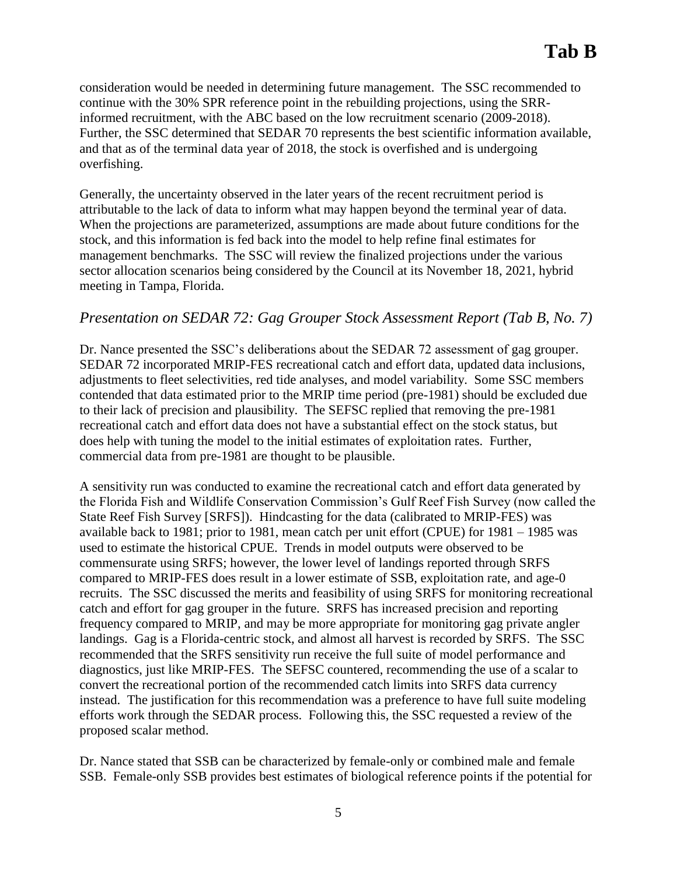consideration would be needed in determining future management. The SSC recommended to continue with the 30% SPR reference point in the rebuilding projections, using the SRRinformed recruitment, with the ABC based on the low recruitment scenario (2009-2018). Further, the SSC determined that SEDAR 70 represents the best scientific information available, and that as of the terminal data year of 2018, the stock is overfished and is undergoing overfishing.

Generally, the uncertainty observed in the later years of the recent recruitment period is attributable to the lack of data to inform what may happen beyond the terminal year of data. When the projections are parameterized, assumptions are made about future conditions for the stock, and this information is fed back into the model to help refine final estimates for management benchmarks. The SSC will review the finalized projections under the various sector allocation scenarios being considered by the Council at its November 18, 2021, hybrid meeting in Tampa, Florida.

## *Presentation on SEDAR 72: Gag Grouper Stock Assessment Report (Tab B, No. 7)*

Dr. Nance presented the SSC's deliberations about the SEDAR 72 assessment of gag grouper. SEDAR 72 incorporated MRIP-FES recreational catch and effort data, updated data inclusions, adjustments to fleet selectivities, red tide analyses, and model variability. Some SSC members contended that data estimated prior to the MRIP time period (pre-1981) should be excluded due to their lack of precision and plausibility. The SEFSC replied that removing the pre-1981 recreational catch and effort data does not have a substantial effect on the stock status, but does help with tuning the model to the initial estimates of exploitation rates. Further, commercial data from pre-1981 are thought to be plausible.

A sensitivity run was conducted to examine the recreational catch and effort data generated by the Florida Fish and Wildlife Conservation Commission's Gulf Reef Fish Survey (now called the State Reef Fish Survey [SRFS]). Hindcasting for the data (calibrated to MRIP-FES) was available back to 1981; prior to 1981, mean catch per unit effort (CPUE) for 1981 – 1985 was used to estimate the historical CPUE. Trends in model outputs were observed to be commensurate using SRFS; however, the lower level of landings reported through SRFS compared to MRIP-FES does result in a lower estimate of SSB, exploitation rate, and age-0 recruits. The SSC discussed the merits and feasibility of using SRFS for monitoring recreational catch and effort for gag grouper in the future. SRFS has increased precision and reporting frequency compared to MRIP, and may be more appropriate for monitoring gag private angler landings. Gag is a Florida-centric stock, and almost all harvest is recorded by SRFS. The SSC recommended that the SRFS sensitivity run receive the full suite of model performance and diagnostics, just like MRIP-FES. The SEFSC countered, recommending the use of a scalar to convert the recreational portion of the recommended catch limits into SRFS data currency instead. The justification for this recommendation was a preference to have full suite modeling efforts work through the SEDAR process. Following this, the SSC requested a review of the proposed scalar method.

Dr. Nance stated that SSB can be characterized by female-only or combined male and female SSB. Female-only SSB provides best estimates of biological reference points if the potential for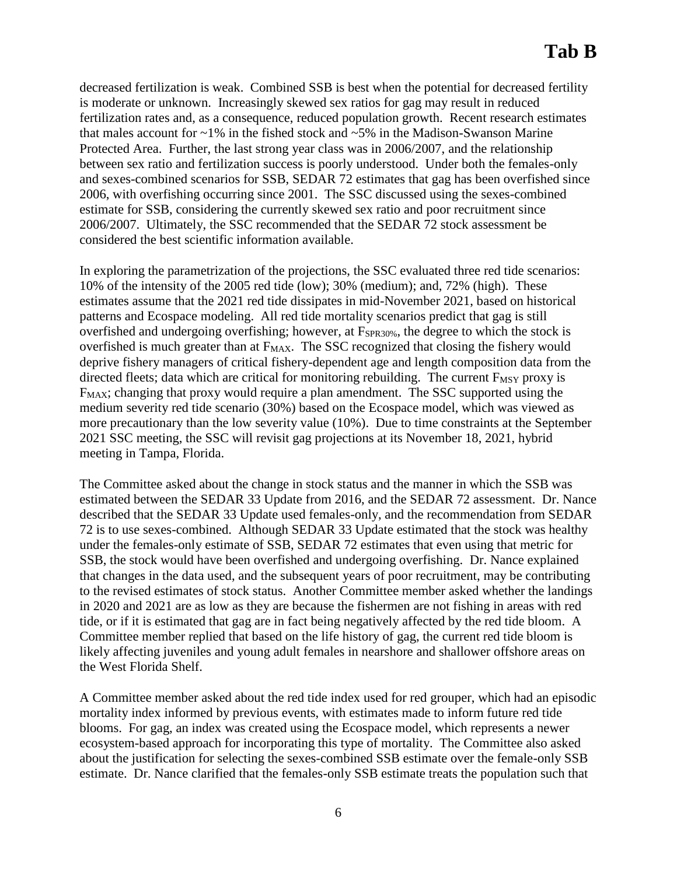decreased fertilization is weak. Combined SSB is best when the potential for decreased fertility is moderate or unknown. Increasingly skewed sex ratios for gag may result in reduced fertilization rates and, as a consequence, reduced population growth. Recent research estimates that males account for  $\sim$ 1% in the fished stock and  $\sim$ 5% in the Madison-Swanson Marine Protected Area. Further, the last strong year class was in 2006/2007, and the relationship between sex ratio and fertilization success is poorly understood. Under both the females-only and sexes-combined scenarios for SSB, SEDAR 72 estimates that gag has been overfished since 2006, with overfishing occurring since 2001. The SSC discussed using the sexes-combined estimate for SSB, considering the currently skewed sex ratio and poor recruitment since 2006/2007. Ultimately, the SSC recommended that the SEDAR 72 stock assessment be considered the best scientific information available.

In exploring the parametrization of the projections, the SSC evaluated three red tide scenarios: 10% of the intensity of the 2005 red tide (low); 30% (medium); and, 72% (high). These estimates assume that the 2021 red tide dissipates in mid-November 2021, based on historical patterns and Ecospace modeling. All red tide mortality scenarios predict that gag is still overfished and undergoing overfishing; however, at F<sub>SPR30%</sub>, the degree to which the stock is overfished is much greater than at F<sub>MAX</sub>. The SSC recognized that closing the fishery would deprive fishery managers of critical fishery-dependent age and length composition data from the directed fleets; data which are critical for monitoring rebuilding. The current  $F_{MSY}$  proxy is FMAX; changing that proxy would require a plan amendment. The SSC supported using the medium severity red tide scenario (30%) based on the Ecospace model, which was viewed as more precautionary than the low severity value (10%). Due to time constraints at the September 2021 SSC meeting, the SSC will revisit gag projections at its November 18, 2021, hybrid meeting in Tampa, Florida.

The Committee asked about the change in stock status and the manner in which the SSB was estimated between the SEDAR 33 Update from 2016, and the SEDAR 72 assessment. Dr. Nance described that the SEDAR 33 Update used females-only, and the recommendation from SEDAR 72 is to use sexes-combined. Although SEDAR 33 Update estimated that the stock was healthy under the females-only estimate of SSB, SEDAR 72 estimates that even using that metric for SSB, the stock would have been overfished and undergoing overfishing. Dr. Nance explained that changes in the data used, and the subsequent years of poor recruitment, may be contributing to the revised estimates of stock status. Another Committee member asked whether the landings in 2020 and 2021 are as low as they are because the fishermen are not fishing in areas with red tide, or if it is estimated that gag are in fact being negatively affected by the red tide bloom. A Committee member replied that based on the life history of gag, the current red tide bloom is likely affecting juveniles and young adult females in nearshore and shallower offshore areas on the West Florida Shelf.

A Committee member asked about the red tide index used for red grouper, which had an episodic mortality index informed by previous events, with estimates made to inform future red tide blooms. For gag, an index was created using the Ecospace model, which represents a newer ecosystem-based approach for incorporating this type of mortality. The Committee also asked about the justification for selecting the sexes-combined SSB estimate over the female-only SSB estimate. Dr. Nance clarified that the females-only SSB estimate treats the population such that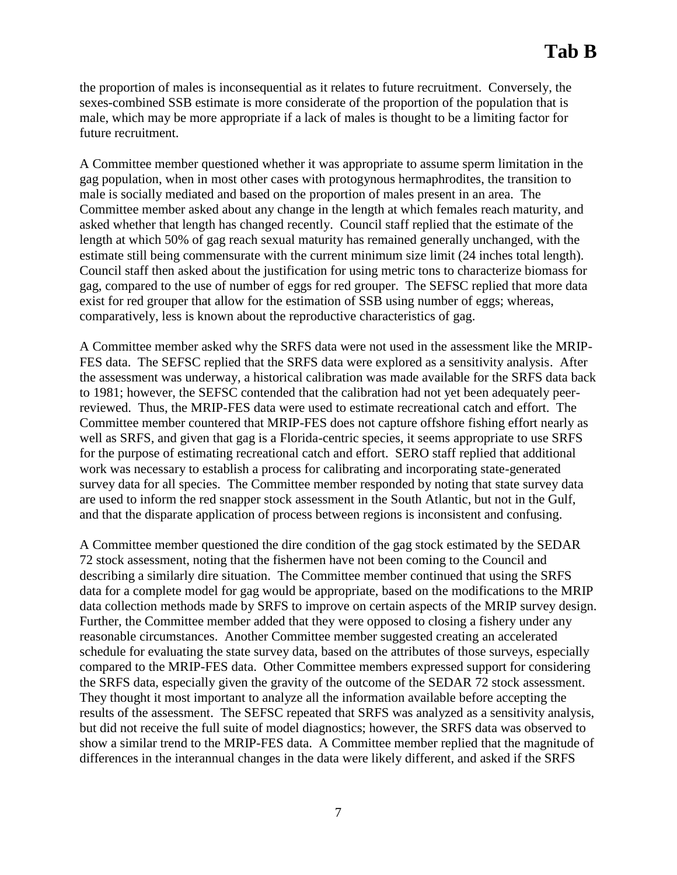the proportion of males is inconsequential as it relates to future recruitment. Conversely, the sexes-combined SSB estimate is more considerate of the proportion of the population that is male, which may be more appropriate if a lack of males is thought to be a limiting factor for future recruitment.

A Committee member questioned whether it was appropriate to assume sperm limitation in the gag population, when in most other cases with protogynous hermaphrodites, the transition to male is socially mediated and based on the proportion of males present in an area. The Committee member asked about any change in the length at which females reach maturity, and asked whether that length has changed recently. Council staff replied that the estimate of the length at which 50% of gag reach sexual maturity has remained generally unchanged, with the estimate still being commensurate with the current minimum size limit (24 inches total length). Council staff then asked about the justification for using metric tons to characterize biomass for gag, compared to the use of number of eggs for red grouper. The SEFSC replied that more data exist for red grouper that allow for the estimation of SSB using number of eggs; whereas, comparatively, less is known about the reproductive characteristics of gag.

A Committee member asked why the SRFS data were not used in the assessment like the MRIP-FES data. The SEFSC replied that the SRFS data were explored as a sensitivity analysis. After the assessment was underway, a historical calibration was made available for the SRFS data back to 1981; however, the SEFSC contended that the calibration had not yet been adequately peerreviewed. Thus, the MRIP-FES data were used to estimate recreational catch and effort. The Committee member countered that MRIP-FES does not capture offshore fishing effort nearly as well as SRFS, and given that gag is a Florida-centric species, it seems appropriate to use SRFS for the purpose of estimating recreational catch and effort. SERO staff replied that additional work was necessary to establish a process for calibrating and incorporating state-generated survey data for all species. The Committee member responded by noting that state survey data are used to inform the red snapper stock assessment in the South Atlantic, but not in the Gulf, and that the disparate application of process between regions is inconsistent and confusing.

A Committee member questioned the dire condition of the gag stock estimated by the SEDAR 72 stock assessment, noting that the fishermen have not been coming to the Council and describing a similarly dire situation. The Committee member continued that using the SRFS data for a complete model for gag would be appropriate, based on the modifications to the MRIP data collection methods made by SRFS to improve on certain aspects of the MRIP survey design. Further, the Committee member added that they were opposed to closing a fishery under any reasonable circumstances. Another Committee member suggested creating an accelerated schedule for evaluating the state survey data, based on the attributes of those surveys, especially compared to the MRIP-FES data. Other Committee members expressed support for considering the SRFS data, especially given the gravity of the outcome of the SEDAR 72 stock assessment. They thought it most important to analyze all the information available before accepting the results of the assessment. The SEFSC repeated that SRFS was analyzed as a sensitivity analysis, but did not receive the full suite of model diagnostics; however, the SRFS data was observed to show a similar trend to the MRIP-FES data. A Committee member replied that the magnitude of differences in the interannual changes in the data were likely different, and asked if the SRFS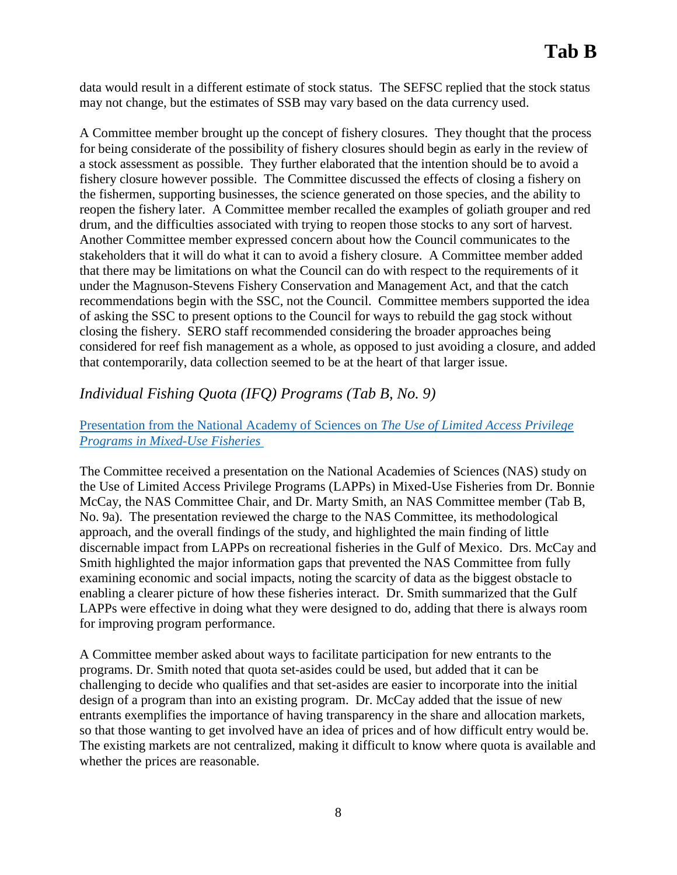data would result in a different estimate of stock status. The SEFSC replied that the stock status may not change, but the estimates of SSB may vary based on the data currency used.

A Committee member brought up the concept of fishery closures. They thought that the process for being considerate of the possibility of fishery closures should begin as early in the review of a stock assessment as possible. They further elaborated that the intention should be to avoid a fishery closure however possible. The Committee discussed the effects of closing a fishery on the fishermen, supporting businesses, the science generated on those species, and the ability to reopen the fishery later. A Committee member recalled the examples of goliath grouper and red drum, and the difficulties associated with trying to reopen those stocks to any sort of harvest. Another Committee member expressed concern about how the Council communicates to the stakeholders that it will do what it can to avoid a fishery closure. A Committee member added that there may be limitations on what the Council can do with respect to the requirements of it under the Magnuson-Stevens Fishery Conservation and Management Act, and that the catch recommendations begin with the SSC, not the Council. Committee members supported the idea of asking the SSC to present options to the Council for ways to rebuild the gag stock without closing the fishery. SERO staff recommended considering the broader approaches being considered for reef fish management as a whole, as opposed to just avoiding a closure, and added that contemporarily, data collection seemed to be at the heart of that larger issue.

## *Individual Fishing Quota (IFQ) Programs (Tab B, No. 9)*

## [Presentation from the National Academy of Sciences on](https://gulfcouncil.org/wp-content/uploads/B-9a-GoM-FMC-Briefing_FINAL.pdf) *The Use of Limited Access Privilege [Programs in Mixed-Use Fisheries](https://gulfcouncil.org/wp-content/uploads/B-9a-GoM-FMC-Briefing_FINAL.pdf)*

The Committee received a presentation on the National Academies of Sciences (NAS) study on the Use of Limited Access Privilege Programs (LAPPs) in Mixed-Use Fisheries from Dr. Bonnie McCay, the NAS Committee Chair, and Dr. Marty Smith, an NAS Committee member (Tab B, No. 9a). The presentation reviewed the charge to the NAS Committee, its methodological approach, and the overall findings of the study, and highlighted the main finding of little discernable impact from LAPPs on recreational fisheries in the Gulf of Mexico. Drs. McCay and Smith highlighted the major information gaps that prevented the NAS Committee from fully examining economic and social impacts, noting the scarcity of data as the biggest obstacle to enabling a clearer picture of how these fisheries interact. Dr. Smith summarized that the Gulf LAPPs were effective in doing what they were designed to do, adding that there is always room for improving program performance.

A Committee member asked about ways to facilitate participation for new entrants to the programs. Dr. Smith noted that quota set-asides could be used, but added that it can be challenging to decide who qualifies and that set-asides are easier to incorporate into the initial design of a program than into an existing program. Dr. McCay added that the issue of new entrants exemplifies the importance of having transparency in the share and allocation markets, so that those wanting to get involved have an idea of prices and of how difficult entry would be. The existing markets are not centralized, making it difficult to know where quota is available and whether the prices are reasonable.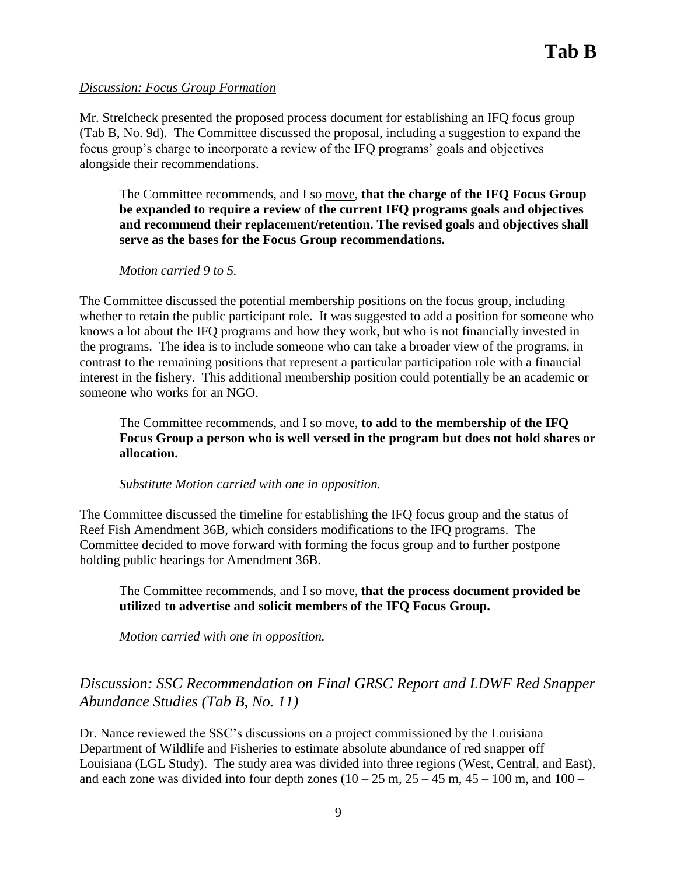### *Discussion: Focus Group Formation*

Mr. Strelcheck presented the proposed process document for establishing an IFQ focus group (Tab B, No. 9d). The Committee discussed the proposal, including a suggestion to expand the focus group's charge to incorporate a review of the IFQ programs' goals and objectives alongside their recommendations.

The Committee recommends, and I so move, **that the charge of the IFQ Focus Group be expanded to require a review of the current IFQ programs goals and objectives and recommend their replacement/retention. The revised goals and objectives shall serve as the bases for the Focus Group recommendations.**

*Motion carried 9 to 5.*

The Committee discussed the potential membership positions on the focus group, including whether to retain the public participant role. It was suggested to add a position for someone who knows a lot about the IFQ programs and how they work, but who is not financially invested in the programs. The idea is to include someone who can take a broader view of the programs, in contrast to the remaining positions that represent a particular participation role with a financial interest in the fishery. This additional membership position could potentially be an academic or someone who works for an NGO.

The Committee recommends, and I so move, **to add to the membership of the IFQ Focus Group a person who is well versed in the program but does not hold shares or allocation.**

*Substitute Motion carried with one in opposition.* 

The Committee discussed the timeline for establishing the IFQ focus group and the status of Reef Fish Amendment 36B, which considers modifications to the IFQ programs. The Committee decided to move forward with forming the focus group and to further postpone holding public hearings for Amendment 36B.

The Committee recommends, and I so move, **that the process document provided be utilized to advertise and solicit members of the IFQ Focus Group.**

*Motion carried with one in opposition.* 

# *Discussion: SSC Recommendation on Final GRSC Report and LDWF Red Snapper Abundance Studies (Tab B, No. 11)*

Dr. Nance reviewed the SSC's discussions on a project commissioned by the Louisiana Department of Wildlife and Fisheries to estimate absolute abundance of red snapper off Louisiana (LGL Study). The study area was divided into three regions (West, Central, and East), and each zone was divided into four depth zones  $(10 - 25 \text{ m}, 25 - 45 \text{ m}, 45 - 100 \text{ m}, \text{ and } 100 - 10 \text{ m}$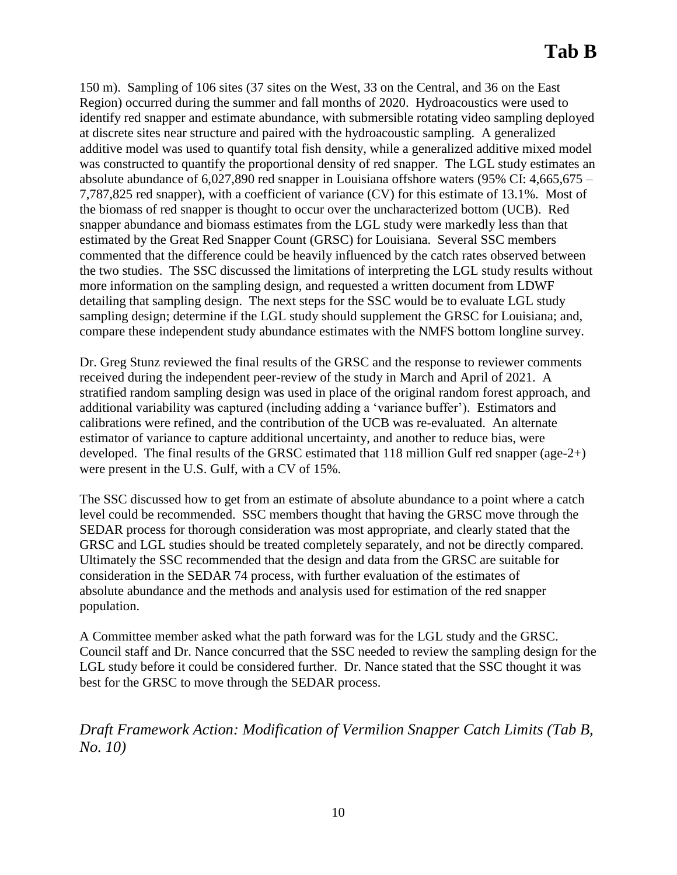150 m). Sampling of 106 sites (37 sites on the West, 33 on the Central, and 36 on the East Region) occurred during the summer and fall months of 2020. Hydroacoustics were used to identify red snapper and estimate abundance, with submersible rotating video sampling deployed at discrete sites near structure and paired with the hydroacoustic sampling. A generalized additive model was used to quantify total fish density, while a generalized additive mixed model was constructed to quantify the proportional density of red snapper. The LGL study estimates an absolute abundance of 6,027,890 red snapper in Louisiana offshore waters (95% CI: 4,665,675 – 7,787,825 red snapper), with a coefficient of variance (CV) for this estimate of 13.1%. Most of the biomass of red snapper is thought to occur over the uncharacterized bottom (UCB). Red snapper abundance and biomass estimates from the LGL study were markedly less than that estimated by the Great Red Snapper Count (GRSC) for Louisiana. Several SSC members commented that the difference could be heavily influenced by the catch rates observed between the two studies. The SSC discussed the limitations of interpreting the LGL study results without more information on the sampling design, and requested a written document from LDWF detailing that sampling design. The next steps for the SSC would be to evaluate LGL study sampling design; determine if the LGL study should supplement the GRSC for Louisiana; and, compare these independent study abundance estimates with the NMFS bottom longline survey.

Dr. Greg Stunz reviewed the final results of the GRSC and the response to reviewer comments received during the independent peer-review of the study in March and April of 2021. A stratified random sampling design was used in place of the original random forest approach, and additional variability was captured (including adding a 'variance buffer'). Estimators and calibrations were refined, and the contribution of the UCB was re-evaluated. An alternate estimator of variance to capture additional uncertainty, and another to reduce bias, were developed. The final results of the GRSC estimated that 118 million Gulf red snapper (age-2+) were present in the U.S. Gulf, with a CV of 15%.

The SSC discussed how to get from an estimate of absolute abundance to a point where a catch level could be recommended. SSC members thought that having the GRSC move through the SEDAR process for thorough consideration was most appropriate, and clearly stated that the GRSC and LGL studies should be treated completely separately, and not be directly compared. Ultimately the SSC recommended that the design and data from the GRSC are suitable for consideration in the SEDAR 74 process, with further evaluation of the estimates of absolute abundance and the methods and analysis used for estimation of the red snapper population.

A Committee member asked what the path forward was for the LGL study and the GRSC. Council staff and Dr. Nance concurred that the SSC needed to review the sampling design for the LGL study before it could be considered further. Dr. Nance stated that the SSC thought it was best for the GRSC to move through the SEDAR process.

*Draft Framework Action: Modification of Vermilion Snapper Catch Limits (Tab B, No. 10)*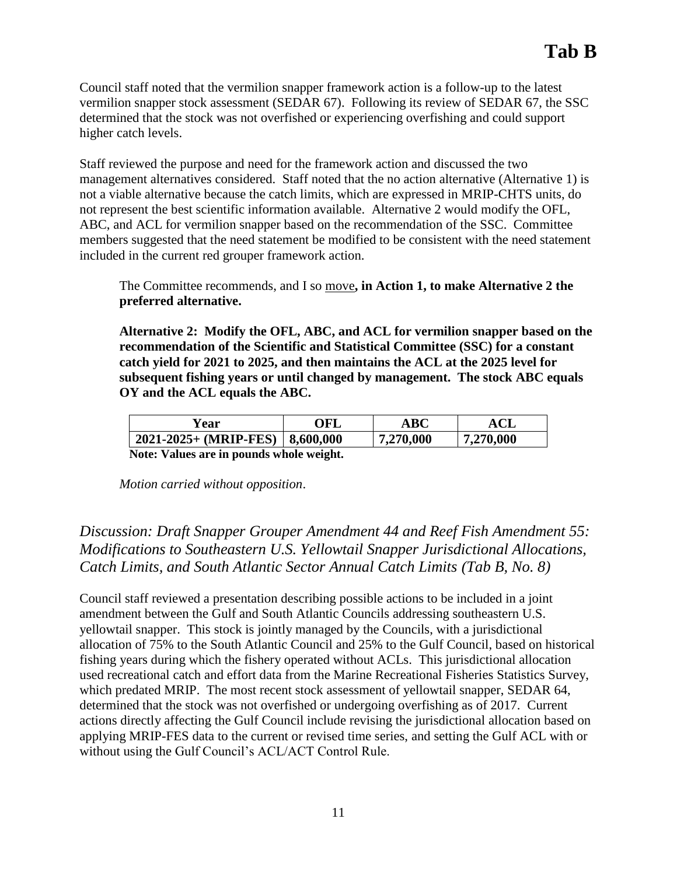Council staff noted that the vermilion snapper framework action is a follow-up to the latest vermilion snapper stock assessment (SEDAR 67). Following its review of SEDAR 67, the SSC determined that the stock was not overfished or experiencing overfishing and could support higher catch levels.

Staff reviewed the purpose and need for the framework action and discussed the two management alternatives considered. Staff noted that the no action alternative (Alternative 1) is not a viable alternative because the catch limits, which are expressed in MRIP-CHTS units, do not represent the best scientific information available. Alternative 2 would modify the OFL, ABC, and ACL for vermilion snapper based on the recommendation of the SSC. Committee members suggested that the need statement be modified to be consistent with the need statement included in the current red grouper framework action.

The Committee recommends, and I so move**, in Action 1, to make Alternative 2 the preferred alternative.**

**Alternative 2: Modify the OFL, ABC, and ACL for vermilion snapper based on the recommendation of the Scientific and Statistical Committee (SSC) for a constant catch yield for 2021 to 2025, and then maintains the ACL at the 2025 level for subsequent fishing years or until changed by management. The stock ABC equals OY and the ACL equals the ABC.**

| Year                                     | OFL | <b>ABC</b> | $\mathbf{A}\mathbf{C}\mathbf{L}$ |
|------------------------------------------|-----|------------|----------------------------------|
| $2021-2025+$ (MRIP-FES)   8,600,000      |     | 7,270,000  | 7,270,000                        |
| Note: Values are in pounds whole weight. |     |            |                                  |

*Motion carried without opposition*.

# *Discussion: Draft Snapper Grouper Amendment 44 and Reef Fish Amendment 55: Modifications to Southeastern U.S. Yellowtail Snapper Jurisdictional Allocations, Catch Limits, and South Atlantic Sector Annual Catch Limits (Tab B, No. 8)*

Council staff reviewed a presentation describing possible actions to be included in a joint amendment between the Gulf and South Atlantic Councils addressing southeastern U.S. yellowtail snapper. This stock is jointly managed by the Councils, with a jurisdictional allocation of 75% to the South Atlantic Council and 25% to the Gulf Council, based on historical fishing years during which the fishery operated without ACLs. This jurisdictional allocation used recreational catch and effort data from the Marine Recreational Fisheries Statistics Survey, which predated MRIP. The most recent stock assessment of yellowtail snapper, SEDAR 64, determined that the stock was not overfished or undergoing overfishing as of 2017. Current actions directly affecting the Gulf Council include revising the jurisdictional allocation based on applying MRIP-FES data to the current or revised time series, and setting the Gulf ACL with or without using the Gulf Council's ACL/ACT Control Rule.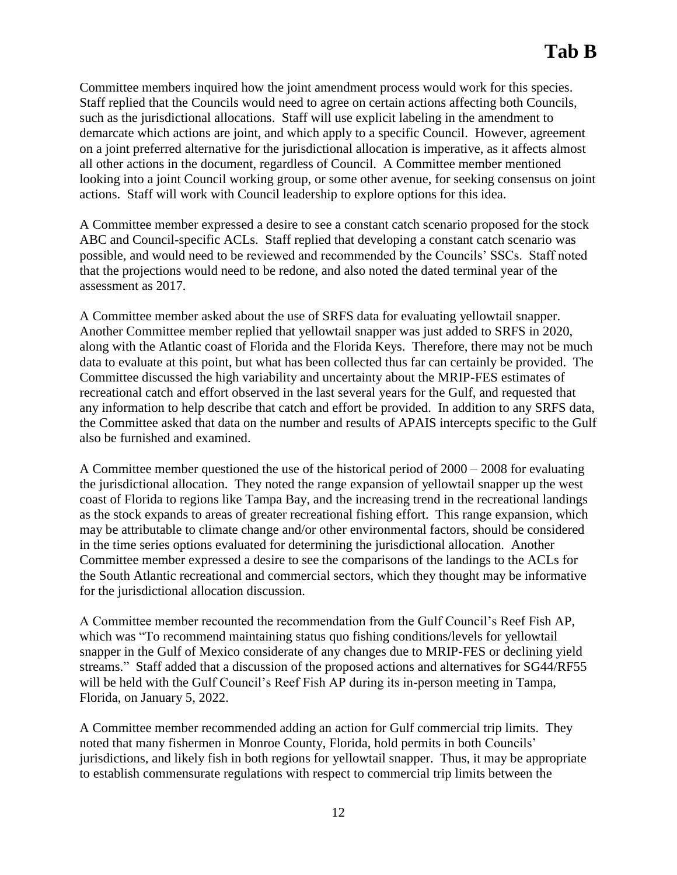Committee members inquired how the joint amendment process would work for this species. Staff replied that the Councils would need to agree on certain actions affecting both Councils, such as the jurisdictional allocations. Staff will use explicit labeling in the amendment to demarcate which actions are joint, and which apply to a specific Council. However, agreement on a joint preferred alternative for the jurisdictional allocation is imperative, as it affects almost all other actions in the document, regardless of Council. A Committee member mentioned looking into a joint Council working group, or some other avenue, for seeking consensus on joint actions. Staff will work with Council leadership to explore options for this idea.

A Committee member expressed a desire to see a constant catch scenario proposed for the stock ABC and Council-specific ACLs. Staff replied that developing a constant catch scenario was possible, and would need to be reviewed and recommended by the Councils' SSCs. Staff noted that the projections would need to be redone, and also noted the dated terminal year of the assessment as 2017.

A Committee member asked about the use of SRFS data for evaluating yellowtail snapper. Another Committee member replied that yellowtail snapper was just added to SRFS in 2020, along with the Atlantic coast of Florida and the Florida Keys. Therefore, there may not be much data to evaluate at this point, but what has been collected thus far can certainly be provided. The Committee discussed the high variability and uncertainty about the MRIP-FES estimates of recreational catch and effort observed in the last several years for the Gulf, and requested that any information to help describe that catch and effort be provided. In addition to any SRFS data, the Committee asked that data on the number and results of APAIS intercepts specific to the Gulf also be furnished and examined.

A Committee member questioned the use of the historical period of 2000 – 2008 for evaluating the jurisdictional allocation. They noted the range expansion of yellowtail snapper up the west coast of Florida to regions like Tampa Bay, and the increasing trend in the recreational landings as the stock expands to areas of greater recreational fishing effort. This range expansion, which may be attributable to climate change and/or other environmental factors, should be considered in the time series options evaluated for determining the jurisdictional allocation. Another Committee member expressed a desire to see the comparisons of the landings to the ACLs for the South Atlantic recreational and commercial sectors, which they thought may be informative for the jurisdictional allocation discussion.

A Committee member recounted the recommendation from the Gulf Council's Reef Fish AP, which was "To recommend maintaining status quo fishing conditions/levels for yellowtail snapper in the Gulf of Mexico considerate of any changes due to MRIP-FES or declining yield streams." Staff added that a discussion of the proposed actions and alternatives for SG44/RF55 will be held with the Gulf Council's Reef Fish AP during its in-person meeting in Tampa, Florida, on January 5, 2022.

A Committee member recommended adding an action for Gulf commercial trip limits. They noted that many fishermen in Monroe County, Florida, hold permits in both Councils' jurisdictions, and likely fish in both regions for yellowtail snapper. Thus, it may be appropriate to establish commensurate regulations with respect to commercial trip limits between the